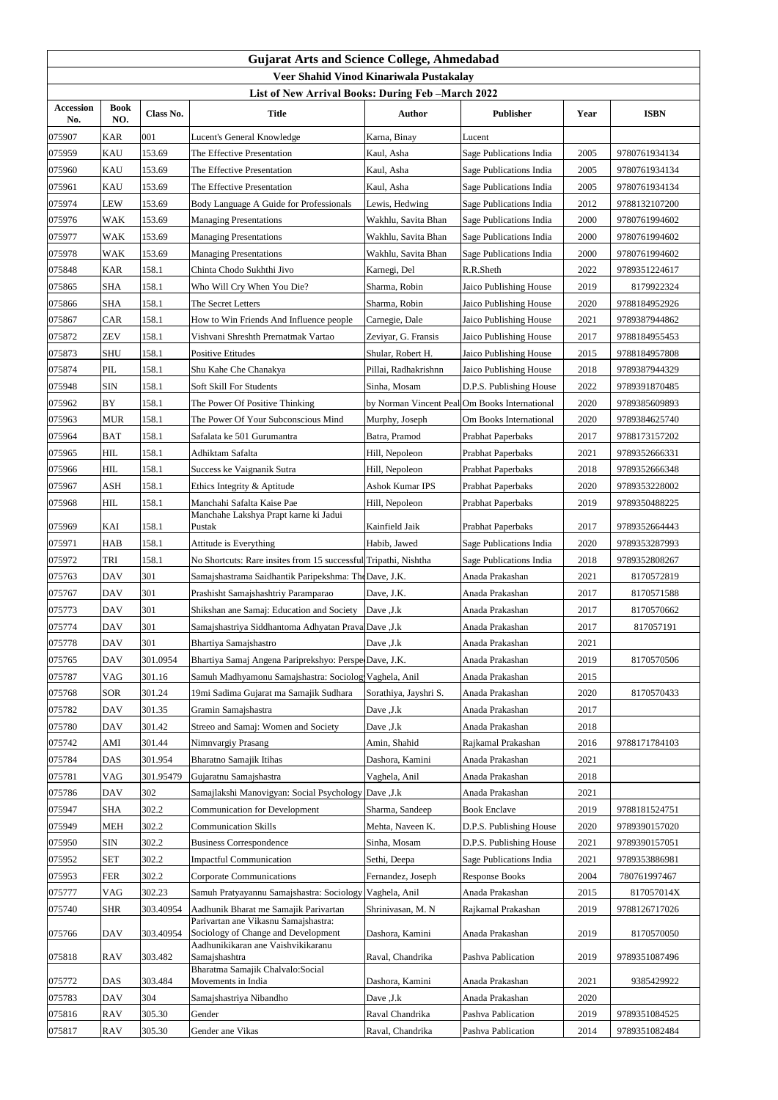| <b>Gujarat Arts and Science College, Ahmedabad</b><br>Veer Shahid Vinod Kinariwala Pustakalay |                    |           |                                                                               |                                               |                          |      |               |  |  |
|-----------------------------------------------------------------------------------------------|--------------------|-----------|-------------------------------------------------------------------------------|-----------------------------------------------|--------------------------|------|---------------|--|--|
| List of New Arrival Books: During Feb - March 2022                                            |                    |           |                                                                               |                                               |                          |      |               |  |  |
| <b>Accession</b><br>No.                                                                       | <b>Book</b><br>NO. | Class No. | <b>Title</b>                                                                  | <b>Author</b>                                 | <b>Publisher</b>         | Year | <b>ISBN</b>   |  |  |
| 075907                                                                                        | <b>KAR</b>         | 001       | Lucent's General Knowledge                                                    | Karna, Binay                                  | Lucent                   |      |               |  |  |
| 075959                                                                                        | <b>KAU</b>         | 153.69    | The Effective Presentation                                                    | Kaul, Asha                                    | Sage Publications India  | 2005 | 9780761934134 |  |  |
| 075960                                                                                        | <b>KAU</b>         | 153.69    | The Effective Presentation                                                    | Kaul, Asha                                    | Sage Publications India  | 2005 | 9780761934134 |  |  |
| 075961                                                                                        | <b>KAU</b>         | 153.69    | The Effective Presentation                                                    | Kaul, Asha                                    | Sage Publications India  | 2005 | 9780761934134 |  |  |
| 075974                                                                                        | <b>LEW</b>         | 153.69    | Body Language A Guide for Professionals                                       | Lewis, Hedwing                                | Sage Publications India  | 2012 | 9788132107200 |  |  |
| 075976                                                                                        | <b>WAK</b>         | 153.69    | <b>Managing Presentations</b>                                                 | Wakhlu, Savita Bhan                           | Sage Publications India  | 2000 | 9780761994602 |  |  |
| 075977                                                                                        | <b>WAK</b>         | 153.69    | <b>Managing Presentations</b>                                                 | Wakhlu, Savita Bhan                           | Sage Publications India  | 2000 | 9780761994602 |  |  |
| 075978                                                                                        | <b>WAK</b>         | 153.69    | <b>Managing Presentations</b>                                                 | Wakhlu, Savita Bhan                           | Sage Publications India  | 2000 | 9780761994602 |  |  |
| 075848                                                                                        | <b>KAR</b>         | 158.1     | Chinta Chodo Sukhthi Jivo                                                     | Karnegi, Del                                  | R.R.Sheth                | 2022 | 9789351224617 |  |  |
| 075865                                                                                        | <b>SHA</b>         | 158.1     | Who Will Cry When You Die?                                                    | Sharma, Robin                                 | Jaico Publishing House   | 2019 | 8179922324    |  |  |
| 075866                                                                                        | <b>SHA</b>         | 158.1     | The Secret Letters                                                            | Sharma, Robin                                 | Jaico Publishing House   | 2020 | 9788184952926 |  |  |
| 075867                                                                                        | CAR                | 158.1     | How to Win Friends And Influence people                                       | Carnegie, Dale                                | Jaico Publishing House   | 2021 | 9789387944862 |  |  |
| 075872                                                                                        | <b>ZEV</b>         | 158.1     | Vishvani Shreshth Prernatmak Vartao                                           | Zeviyar, G. Fransis                           | Jaico Publishing House   | 2017 | 9788184955453 |  |  |
| 075873                                                                                        | <b>SHU</b>         | 158.1     | <b>Positive Etitudes</b>                                                      | Shular, Robert H.                             | Jaico Publishing House   | 2015 | 9788184957808 |  |  |
| 075874                                                                                        | PIL                | 158.1     | Shu Kahe Che Chanakya                                                         | Pillai, Radhakrishnn                          | Jaico Publishing House   | 2018 | 9789387944329 |  |  |
| 075948                                                                                        | <b>SIN</b>         | 158.1     | <b>Soft Skill For Students</b>                                                | Sinha, Mosam                                  | D.P.S. Publishing House  | 2022 | 9789391870485 |  |  |
| 075962                                                                                        | <b>BY</b>          | 158.1     | The Power Of Positive Thinking                                                | by Norman Vincent Peal Om Books International |                          | 2020 | 9789385609893 |  |  |
| 075963                                                                                        | <b>MUR</b>         | 158.1     | The Power Of Your Subconscious Mind                                           | Murphy, Joseph                                | Om Books International   | 2020 | 9789384625740 |  |  |
| 075964                                                                                        | <b>BAT</b>         | 158.1     | Safalata ke 501 Gurumantra                                                    | Batra, Pramod                                 | Prabhat Paperbaks        | 2017 | 9788173157202 |  |  |
| 075965                                                                                        | <b>HIL</b>         | 158.1     | Adhiktam Safalta                                                              | Hill, Nepoleon                                | Prabhat Paperbaks        | 2021 | 9789352666331 |  |  |
| 075966                                                                                        | <b>HIL</b>         | 158.1     | Success ke Vaignanik Sutra                                                    | Hill, Nepoleon                                | <b>Prabhat Paperbaks</b> | 2018 | 9789352666348 |  |  |
| 075967                                                                                        | <b>ASH</b>         | 158.1     | Ethics Integrity & Aptitude                                                   | <b>Ashok Kumar IPS</b>                        | Prabhat Paperbaks        | 2020 | 9789353228002 |  |  |
| 075968                                                                                        | <b>HIL</b>         | 158.1     | Manchahi Safalta Kaise Pae                                                    | Hill, Nepoleon                                | Prabhat Paperbaks        | 2019 | 9789350488225 |  |  |
|                                                                                               |                    |           | Manchahe Lakshya Prapt karne ki Jadui                                         |                                               |                          |      |               |  |  |
| 075969                                                                                        | KAI                | 158.1     | Pustak                                                                        | Kainfield Jaik                                | Prabhat Paperbaks        | 2017 | 9789352664443 |  |  |
| 075971                                                                                        | <b>HAB</b>         | 158.1     | Attitude is Everything                                                        | Habib, Jawed                                  | Sage Publications India  | 2020 | 9789353287993 |  |  |
| 075972                                                                                        | <b>TRI</b>         | 158.1     | No Shortcuts: Rare insites from 15 successful Tripathi, Nishtha               |                                               | Sage Publications India  | 2018 | 9789352808267 |  |  |
| 075763                                                                                        | <b>DAV</b>         | 301       | Samajshastrama Saidhantik Paripekshma: The Dave, J.K.                         |                                               | Anada Prakashan          | 2021 | 8170572819    |  |  |
| 075767                                                                                        | <b>DAV</b>         | 301       | Prashisht Samajshashtriy Paramparao                                           | Dave, J.K.                                    | Anada Prakashan          | 2017 | 8170571588    |  |  |
| 075773                                                                                        | <b>DAV</b>         | 301       | Shikshan ane Samaj: Education and Society                                     | Dave , J.k                                    | Anada Prakashan          | 2017 | 8170570662    |  |  |
| 075774                                                                                        | <b>DAV</b>         | 301       | Samajshastriya Siddhantoma Adhyatan Prava Dave , J.k                          |                                               | Anada Prakashan          | 2017 | 817057191     |  |  |
| 075778                                                                                        | <b>DAV</b>         | 301       | Bhartiya Samajshastro                                                         | Dave , J.k                                    | Anada Prakashan          | 2021 |               |  |  |
| 075765                                                                                        | <b>DAV</b>         | 301.0954  | Bhartiya Samaj Angena Pariprekshyo: Perspe Dave, J.K.                         |                                               | Anada Prakashan          | 2019 | 8170570506    |  |  |
| 075787                                                                                        | VAG                | 301.16    | Samuh Madhyamonu Samajshastra: Sociolog Vaghela, Anil                         |                                               | Anada Prakashan          | 2015 |               |  |  |
| 075768                                                                                        | <b>SOR</b>         | 301.24    | 19mi Sadima Gujarat ma Samajik Sudhara                                        | Sorathiya, Jayshri S.                         | Anada Prakashan          | 2020 | 8170570433    |  |  |
| 075782                                                                                        | <b>DAV</b>         | 301.35    | Gramin Samajshastra                                                           | Dave , J.k                                    | Anada Prakashan          | 2017 |               |  |  |
| 075780                                                                                        | <b>DAV</b>         | 301.42    | Streeo and Samaj: Women and Society                                           | Dave , J.k                                    | Anada Prakashan          | 2018 |               |  |  |
| 075742                                                                                        | AMI                | 301.44    | Nimnvargiy Prasang                                                            | Amin, Shahid                                  | Rajkamal Prakashan       | 2016 | 9788171784103 |  |  |
| 075784                                                                                        | <b>DAS</b>         | 301.954   | <b>Bharatno Samajik Itihas</b>                                                | Dashora, Kamini                               | Anada Prakashan          | 2021 |               |  |  |
| 075781                                                                                        | VAG                | 301.95479 | Gujaratnu Samajshastra                                                        | Vaghela, Anil                                 | Anada Prakashan          | 2018 |               |  |  |
| 075786                                                                                        | <b>DAV</b>         | 302       | Samajlakshi Manovigyan: Social Psychology Dave ,J.k                           |                                               | Anada Prakashan          | 2021 |               |  |  |
| 075947                                                                                        | <b>SHA</b>         | 302.2     | <b>Communication for Development</b>                                          | Sharma, Sandeep                               | <b>Book Enclave</b>      | 2019 | 9788181524751 |  |  |
| 075949                                                                                        | <b>MEH</b>         | 302.2     | <b>Communication Skills</b>                                                   | Mehta, Naveen K.                              | D.P.S. Publishing House  | 2020 | 9789390157020 |  |  |
| 075950                                                                                        | <b>SIN</b>         | 302.2     | <b>Business Correspondence</b>                                                | Sinha, Mosam                                  | D.P.S. Publishing House  | 2021 | 9789390157051 |  |  |
| 075952                                                                                        | <b>SET</b>         | 302.2     | <b>Impactful Communication</b>                                                | Sethi, Deepa                                  | Sage Publications India  | 2021 | 9789353886981 |  |  |
| 075953                                                                                        | <b>FER</b>         | 302.2     | <b>Corporate Communications</b>                                               | Fernandez, Joseph                             | <b>Response Books</b>    | 2004 | 780761997467  |  |  |
| 075777                                                                                        | VAG                | 302.23    | Samuh Pratyayannu Samajshastra: Sociology Vaghela, Anil                       |                                               | Anada Prakashan          | 2015 | 817057014X    |  |  |
| 075740                                                                                        | <b>SHR</b>         | 303.40954 | Aadhunik Bharat me Samajik Parivartan<br>Parivartan ane Vikasnu Samajshastra: | Shrinivasan, M. N                             | Rajkamal Prakashan       | 2019 | 9788126717026 |  |  |
| 075766                                                                                        | <b>DAV</b>         | 303.40954 | Sociology of Change and Development<br>Aadhunikikaran ane Vaishvikikaranu     | Dashora, Kamini                               | Anada Prakashan          | 2019 | 8170570050    |  |  |
| 075818                                                                                        | <b>RAV</b>         | 303.482   | Samajshashtra                                                                 | Raval, Chandrika                              | Pashva Pablication       | 2019 | 9789351087496 |  |  |
|                                                                                               |                    |           | Bharatma Samajik Chalvalo:Social                                              |                                               |                          |      |               |  |  |
| 075772                                                                                        | <b>DAS</b>         | 303.484   | Movements in India                                                            | Dashora, Kamini                               | Anada Prakashan          | 2021 | 9385429922    |  |  |
| 075783                                                                                        | <b>DAV</b>         | 304       | Samajshastriya Nibandho                                                       | Dave , J.k                                    | Anada Prakashan          | 2020 |               |  |  |
| 075816                                                                                        | <b>RAV</b>         | 305.30    | Gender                                                                        | Raval Chandrika                               | Pashva Pablication       | 2019 | 9789351084525 |  |  |
| 075817                                                                                        | <b>RAV</b>         | 305.30    | Gender ane Vikas                                                              | Raval, Chandrika                              | Pashva Pablication       | 2014 | 9789351082484 |  |  |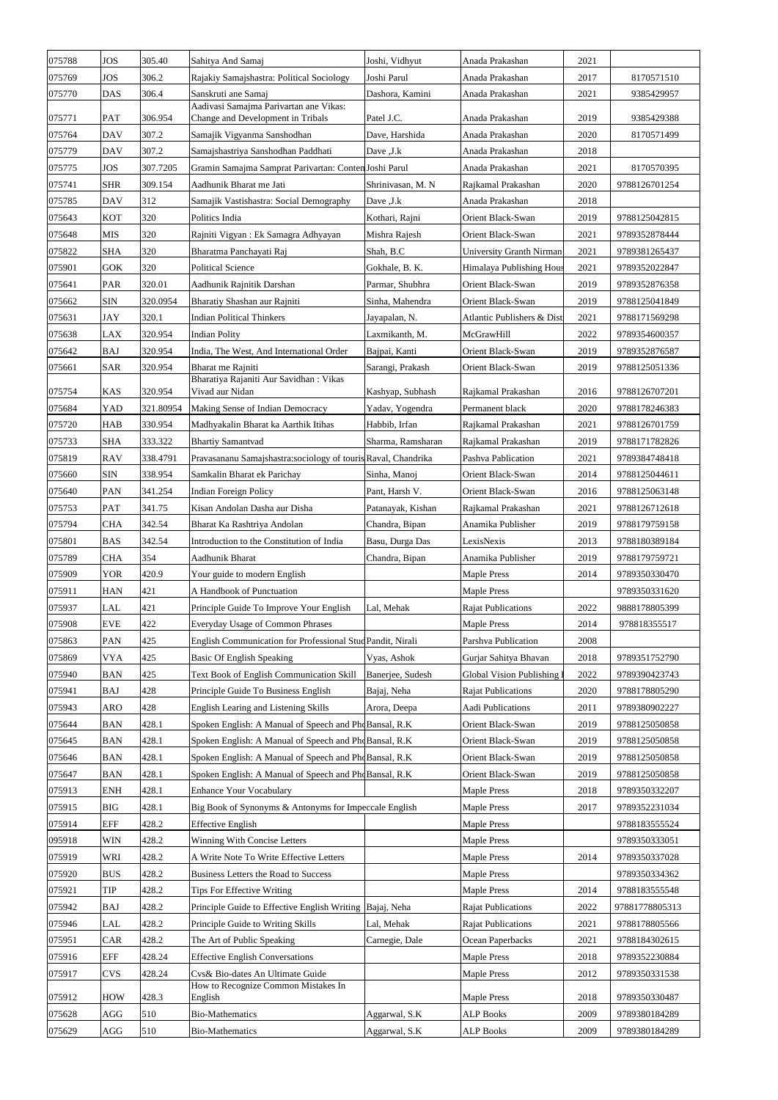| 075788 | <b>JOS</b> | 305.40    | Sahitya And Samaj                                                           | Joshi, Vidhyut    | Anada Prakashan            | 2021 |                |
|--------|------------|-----------|-----------------------------------------------------------------------------|-------------------|----------------------------|------|----------------|
| 075769 | <b>JOS</b> | 306.2     | Rajakiy Samajshastra: Political Sociology                                   | Joshi Parul       | Anada Prakashan            | 2017 | 8170571510     |
| 075770 | <b>DAS</b> | 306.4     | Sanskruti ane Samaj                                                         | Dashora, Kamini   | Anada Prakashan            | 2021 | 9385429957     |
| 075771 | <b>PAT</b> | 306.954   | Aadivasi Samajma Parivartan ane Vikas:<br>Change and Development in Tribals | Patel J.C.        | Anada Prakashan            | 2019 | 9385429388     |
| 075764 | <b>DAV</b> | 307.2     | Samajik Vigyanma Sanshodhan                                                 | Dave, Harshida    | Anada Prakashan            | 2020 | 8170571499     |
| 075779 | <b>DAV</b> | 307.2     | Samajshastriya Sanshodhan Paddhati                                          | Dave , J.k        | Anada Prakashan            | 2018 |                |
| 075775 | <b>JOS</b> | 307.7205  | Gramin Samajma Samprat Parivartan: Conten Joshi Parul                       |                   | Anada Prakashan            | 2021 | 8170570395     |
| 075741 | <b>SHR</b> | 309.154   | Aadhunik Bharat me Jati                                                     | Shrinivasan, M. N | Rajkamal Prakashan         | 2020 | 9788126701254  |
| 075785 | <b>DAV</b> | 312       | Samajik Vastishastra: Social Demography                                     | Dave , J.k        | Anada Prakashan            | 2018 |                |
| 075643 | <b>KOT</b> | 320       | Politics India                                                              | Kothari, Rajni    | Orient Black-Swan          | 2019 | 9788125042815  |
| 075648 | <b>MIS</b> | 320       | Rajniti Vigyan: Ek Samagra Adhyayan                                         | Mishra Rajesh     | Orient Black-Swan          | 2021 | 9789352878444  |
| 075822 | <b>SHA</b> | 320       | Bharatma Panchayati Raj                                                     | Shah, B.C         | University Granth Nirman   | 2021 | 9789381265437  |
| 075901 | <b>GOK</b> | 320       | <b>Political Science</b>                                                    | Gokhale, B. K.    | Himalaya Publishing Hous   | 2021 | 9789352022847  |
| 075641 | <b>PAR</b> | 320.01    | Aadhunik Rajnitik Darshan                                                   | Parmar, Shubhra   | Orient Black-Swan          | 2019 | 9789352876358  |
| 075662 | <b>SIN</b> | 320.0954  | Bharatiy Shashan aur Rajniti                                                | Sinha, Mahendra   | Orient Black-Swan          | 2019 | 9788125041849  |
| 075631 | <b>JAY</b> | 320.1     | <b>Indian Political Thinkers</b>                                            | Jayapalan, N.     | Atlantic Publishers & Dist | 2021 | 9788171569298  |
| 075638 | LAX        | 320.954   | <b>Indian Polity</b>                                                        | Laxmikanth, M.    | McGrawHill                 | 2022 | 9789354600357  |
| 075642 | <b>BAJ</b> | 320.954   | India, The West, And International Order                                    | Bajpai, Kanti     | Orient Black-Swan          | 2019 | 9789352876587  |
| 075661 | <b>SAR</b> | 320.954   | Bharat me Rajniti                                                           | Sarangi, Prakash  | Orient Black-Swan          | 2019 | 9788125051336  |
|        |            |           | Bharatiya Rajaniti Aur Savidhan: Vikas                                      |                   |                            |      |                |
| 075754 | <b>KAS</b> | 320.954   | Vivad aur Nidan                                                             | Kashyap, Subhash  | Rajkamal Prakashan         | 2016 | 9788126707201  |
| 075684 | YAD        | 321.80954 | Making Sense of Indian Democracy                                            | Yadav, Yogendra   | Permanent black            | 2020 | 9788178246383  |
| 075720 | <b>HAB</b> | 330.954   | Madhyakalin Bharat ka Aarthik Itihas                                        | Habbib, Irfan     | Rajkamal Prakashan         | 2021 | 9788126701759  |
| 075733 | <b>SHA</b> | 333.322   | <b>Bhartiy Samantvad</b>                                                    | Sharma, Ramsharan | Rajkamal Prakashan         | 2019 | 9788171782826  |
| 075819 | <b>RAV</b> | 338.4791  | Pravasananu Samajshastra:sociology of touris Raval, Chandrika               |                   | Pashva Pablication         | 2021 | 9789384748418  |
| 075660 | <b>SIN</b> | 338.954   | Samkalin Bharat ek Parichay                                                 | Sinha, Manoj      | Orient Black-Swan          | 2014 | 9788125044611  |
| 075640 | <b>PAN</b> | 341.254   | <b>Indian Foreign Policy</b>                                                | Pant, Harsh V.    | Orient Black-Swan          | 2016 | 9788125063148  |
| 075753 | <b>PAT</b> | 341.75    | Kisan Andolan Dasha aur Disha                                               | Patanayak, Kishan | Rajkamal Prakashan         | 2021 | 9788126712618  |
| 075794 | <b>CHA</b> | 342.54    | Bharat Ka Rashtriya Andolan                                                 | Chandra, Bipan    | Anamika Publisher          | 2019 | 9788179759158  |
| 075801 | <b>BAS</b> | 342.54    | Introduction to the Constitution of India                                   | Basu, Durga Das   | LexisNexis                 | 2013 | 9788180389184  |
| 075789 | <b>CHA</b> | 354       | Aadhunik Bharat                                                             | Chandra, Bipan    | Anamika Publisher          | 2019 | 9788179759721  |
| 075909 | <b>YOR</b> | 420.9     | Your guide to modern English                                                |                   | <b>Maple Press</b>         | 2014 | 9789350330470  |
| 075911 | <b>HAN</b> | 421       | A Handbook of Punctuation                                                   |                   | <b>Maple Press</b>         |      | 9789350331620  |
| 075937 | LAL        | 421       | Principle Guide To Improve Your English                                     | Lal, Mehak        | <b>Rajat Publications</b>  | 2022 | 9888178805399  |
| 075908 | <b>EVE</b> | 422       | Everyday Usage of Common Phrases                                            |                   | <b>Maple Press</b>         | 2014 | 978818355517   |
| 075863 | <b>PAN</b> | 425       | English Communication for Professional Stud Pandit, Nirali                  |                   | Parshva Publication        | 2008 |                |
| 075869 | <b>VYA</b> | 425       | <b>Basic Of English Speaking</b>                                            | Vyas, Ashok       | Gurjar Sahitya Bhavan      | 2018 | 9789351752790  |
| 075940 | <b>BAN</b> | 425       | Text Book of English Communication Skill                                    | Banerjee, Sudesh  | Global Vision Publishing   | 2022 | 9789390423743  |
| 075941 | <b>BAJ</b> | 428       | Principle Guide To Business English                                         | Bajaj, Neha       | <b>Rajat Publications</b>  | 2020 | 9788178805290  |
| 075943 | <b>ARO</b> | 428       | English Learing and Listening Skills                                        | Arora, Deepa      | Aadi Publications          | 2011 | 9789380902227  |
| 075644 | <b>BAN</b> | 428.1     | Spoken English: A Manual of Speech and PhoBansal, R.K.                      |                   | Orient Black-Swan          | 2019 | 9788125050858  |
| 075645 | <b>BAN</b> | 428.1     | Spoken English: A Manual of Speech and PhoBansal, R.K.                      |                   | Orient Black-Swan          | 2019 | 9788125050858  |
| 075646 | <b>BAN</b> | 428.1     | Spoken English: A Manual of Speech and PhoBansal, R.K.                      |                   | Orient Black-Swan          | 2019 | 9788125050858  |
| 075647 | <b>BAN</b> | 428.1     | Spoken English: A Manual of Speech and PhoBansal, R.K.                      |                   | Orient Black-Swan          | 2019 | 9788125050858  |
| 075913 | <b>ENH</b> | 428.1     | <b>Enhance Your Vocabulary</b>                                              |                   | <b>Maple Press</b>         | 2018 | 9789350332207  |
| 075915 | <b>BIG</b> | 428.1     | Big Book of Synonyms & Antonyms for Impeccale English                       |                   | <b>Maple Press</b>         | 2017 | 9789352231034  |
| 075914 | <b>EFF</b> | 428.2     | <b>Effective English</b>                                                    |                   | <b>Maple Press</b>         |      | 9788183555524  |
| 095918 | <b>WIN</b> | 428.2     | Winning With Concise Letters                                                |                   | <b>Maple Press</b>         |      | 9789350333051  |
| 075919 | WRI        | 428.2     | A Write Note To Write Effective Letters                                     |                   | <b>Maple Press</b>         | 2014 | 9789350337028  |
| 075920 | <b>BUS</b> | 428.2     | Business Letters the Road to Success                                        |                   | <b>Maple Press</b>         |      | 9789350334362  |
| 075921 | <b>TIP</b> | 428.2     | Tips For Effective Writing                                                  |                   | <b>Maple Press</b>         | 2014 | 9788183555548  |
| 075942 | <b>BAJ</b> | 428.2     | Principle Guide to Effective English Writing Bajaj, Neha                    |                   | <b>Rajat Publications</b>  | 2022 | 97881778805313 |
| 075946 | LAL        | 428.2     | Principle Guide to Writing Skills                                           | Lal, Mehak        | <b>Rajat Publications</b>  | 2021 | 9788178805566  |
| 075951 | CAR        | 428.2     | The Art of Public Speaking                                                  | Carnegie, Dale    | Ocean Paperbacks           | 2021 | 9788184302615  |
| 075916 | <b>EFF</b> | 428.24    | <b>Effective English Conversations</b>                                      |                   | <b>Maple Press</b>         | 2018 | 9789352230884  |
| 075917 | <b>CVS</b> | 428.24    | Cvs& Bio-dates An Ultimate Guide                                            |                   | <b>Maple Press</b>         | 2012 | 9789350331538  |
| 075912 | <b>HOW</b> | 428.3     | How to Recognize Common Mistakes In<br>English                              |                   | <b>Maple Press</b>         | 2018 | 9789350330487  |
| 075628 | AGG        | 510       | <b>Bio-Mathematics</b>                                                      | Aggarwal, S.K     | <b>ALP Books</b>           | 2009 | 9789380184289  |
| 075629 | AGG        | 510       | <b>Bio-Mathematics</b>                                                      | Aggarwal, S.K     | <b>ALP Books</b>           | 2009 | 9789380184289  |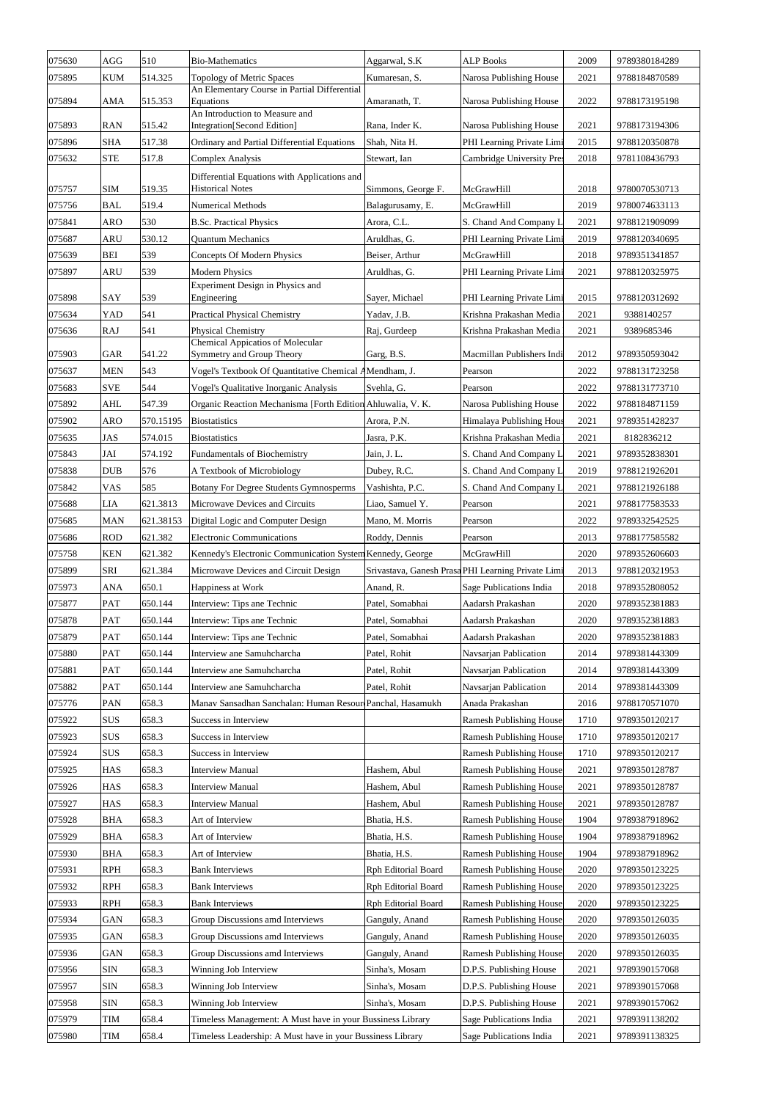| 075630 | AGG        | 510       | <b>Bio-Mathematics</b>                                                  | Aggarwal, S.K              | <b>ALP Books</b>                                   | 2009 | 9789380184289 |
|--------|------------|-----------|-------------------------------------------------------------------------|----------------------------|----------------------------------------------------|------|---------------|
| 075895 | <b>KUM</b> | 514.325   | Topology of Metric Spaces                                               | Kumaresan, S.              | Narosa Publishing House                            | 2021 | 9788184870589 |
| 075894 | <b>AMA</b> | 515.353   | An Elementary Course in Partial Differential<br>Equations               | Amaranath, T.              | Narosa Publishing House                            | 2022 | 9788173195198 |
| 075893 | <b>RAN</b> | 515.42    | An Introduction to Measure and<br><b>Integration</b> [Second Edition]   | Rana, Inder K.             | Narosa Publishing House                            | 2021 | 9788173194306 |
| 075896 | <b>SHA</b> | 517.38    | Ordinary and Partial Differential Equations                             | Shah, Nita H.              | PHI Learning Private Limi                          | 2015 | 9788120350878 |
| 075632 | <b>STE</b> | 517.8     | <b>Complex Analysis</b>                                                 | Stewart, Ian               | Cambridge University Pres                          | 2018 | 9781108436793 |
| 075757 | <b>SIM</b> | 519.35    | Differential Equations with Applications and<br><b>Historical Notes</b> | Simmons, George F.         | McGrawHill                                         | 2018 | 9780070530713 |
| 075756 | <b>BAL</b> | 519.4     | <b>Numerical Methods</b>                                                | Balagurusamy, E.           | McGrawHill                                         | 2019 | 9780074633113 |
| 075841 | <b>ARO</b> | 530       | <b>B.Sc. Practical Physics</b>                                          | Arora, C.L.                | S. Chand And Company L                             | 2021 | 9788121909099 |
| 075687 | <b>ARU</b> | 530.12    | <b>Quantum Mechanics</b>                                                | Aruldhas, G.               | PHI Learning Private Limi                          | 2019 | 9788120340695 |
| 075639 | <b>BEI</b> | 539       | Concepts Of Modern Physics                                              | Beiser, Arthur             | McGrawHill                                         | 2018 | 9789351341857 |
| 075897 | <b>ARU</b> | 539       | <b>Modern Physics</b>                                                   | Aruldhas, G.               | PHI Learning Private Limi                          | 2021 | 9788120325975 |
|        |            |           | Experiment Design in Physics and                                        |                            |                                                    |      |               |
| 075898 | <b>SAY</b> | 539       | Engineering                                                             | Sayer, Michael             | PHI Learning Private Limi                          | 2015 | 9788120312692 |
| 075634 | <b>YAD</b> | 541       | <b>Practical Physical Chemistry</b>                                     | Yadav, J.B.                | Krishna Prakashan Media                            | 2021 | 9388140257    |
| 075636 | <b>RAJ</b> | 541       | Physical Chemistry<br><b>Chemical Appicatios of Molecular</b>           | Raj, Gurdeep               | Krishna Prakashan Media                            | 2021 | 9389685346    |
| 075903 | GAR        | 541.22    | Symmetry and Group Theory                                               | Garg, B.S.                 | Macmillan Publishers Indi                          | 2012 | 9789350593042 |
| 075637 | <b>MEN</b> | 543       | Vogel's Textbook Of Quantitative Chemical AMendham, J.                  |                            | Pearson                                            | 2022 | 9788131723258 |
| 075683 | <b>SVE</b> | 544       | Vogel's Qualitative Inorganic Analysis                                  | Svehla, G.                 | Pearson                                            | 2022 | 9788131773710 |
| 075892 | <b>AHL</b> | 547.39    | Organic Reaction Mechanisma [Forth Edition Ahluwalia, V. K.             |                            | Narosa Publishing House                            | 2022 | 9788184871159 |
| 075902 | <b>ARO</b> | 570.15195 | <b>Biostatistics</b>                                                    | Arora, P.N.                | Himalaya Publishing Hous                           | 2021 | 9789351428237 |
| 075635 | JAS        | 574.015   | <b>Biostatistics</b>                                                    | Jasra, P.K.                | Krishna Prakashan Media                            | 2021 | 8182836212    |
| 075843 | JAI        | 574.192   | <b>Fundamentals of Biochemistry</b>                                     | Jain, J. L.                | S. Chand And Company L                             | 2021 | 9789352838301 |
| 075838 | <b>DUB</b> | 576       | A Textbook of Microbiology                                              | Dubey, R.C.                | S. Chand And Company L                             | 2019 | 9788121926201 |
| 075842 | <b>VAS</b> | 585       | <b>Botany For Degree Students Gymnosperms</b>                           | Vashishta, P.C.            | S. Chand And Company L                             | 2021 | 9788121926188 |
| 075688 | <b>LIA</b> | 621.3813  | Microwave Devices and Circuits                                          | Liao, Samuel Y.            | Pearson                                            | 2021 | 9788177583533 |
| 075685 | <b>MAN</b> | 621.38153 | Digital Logic and Computer Design                                       | Mano, M. Morris            | Pearson                                            | 2022 | 9789332542525 |
| 075686 | <b>ROD</b> | 621.382   | <b>Electronic Communications</b>                                        | Roddy, Dennis              | Pearson                                            | 2013 | 9788177585582 |
| 075758 | <b>KEN</b> | 621.382   | Kennedy's Electronic Communication System Kennedy, George               |                            | McGrawHill                                         | 2020 | 9789352606603 |
| 075899 | <b>SRI</b> | 621.384   | Microwave Devices and Circuit Design                                    |                            | Srivastava, Ganesh Prasa PHI Learning Private Limi | 2013 | 9788120321953 |
| 075973 | <b>ANA</b> | 650.1     | Happiness at Work                                                       | Anand, R.                  | Sage Publications India                            | 2018 | 9789352808052 |
| 075877 | <b>PAT</b> | 650.144   | Interview: Tips ane Technic                                             | Patel, Somabhai            | Aadarsh Prakashan                                  | 2020 | 9789352381883 |
| 075878 | <b>PAT</b> | 650.144   | Interview: Tips ane Technic                                             | Patel, Somabhai            | Aadarsh Prakashan                                  | 2020 | 9789352381883 |
| 075879 | <b>PAT</b> | 650.144   | Interview: Tips ane Technic                                             | Patel, Somabhai            | Aadarsh Prakashan                                  | 2020 | 9789352381883 |
| 075880 | <b>PAT</b> | 650.144   | Interview ane Samuhcharcha                                              | Patel, Rohit               | Navsarjan Pablication                              | 2014 | 9789381443309 |
| 075881 | <b>PAT</b> | 650.144   | Interview ane Samuhcharcha                                              | Patel, Rohit               | Navsarjan Pablication                              | 2014 | 9789381443309 |
| 075882 | <b>PAT</b> | 650.144   | Interview ane Samuhcharcha                                              | Patel, Rohit               | Navsarjan Pablication                              | 2014 | 9789381443309 |
| 075776 | <b>PAN</b> | 658.3     | Manav Sansadhan Sanchalan: Human Resour Panchal, Hasamukh               |                            | Anada Prakashan                                    | 2016 | 9788170571070 |
| 075922 | <b>SUS</b> | 658.3     | Success in Interview                                                    |                            | <b>Ramesh Publishing House</b>                     | 1710 | 9789350120217 |
| 075923 | <b>SUS</b> | 658.3     | Success in Interview                                                    |                            | <b>Ramesh Publishing House</b>                     | 1710 | 9789350120217 |
| 075924 | <b>SUS</b> | 658.3     | Success in Interview                                                    |                            | <b>Ramesh Publishing House</b>                     | 1710 | 9789350120217 |
| 075925 | <b>HAS</b> | 658.3     | <b>Interview Manual</b>                                                 | Hashem, Abul               | <b>Ramesh Publishing House</b>                     | 2021 | 9789350128787 |
| 075926 | <b>HAS</b> | 658.3     | <b>Interview Manual</b>                                                 | Hashem, Abul               | <b>Ramesh Publishing House</b>                     | 2021 | 9789350128787 |
| 075927 | <b>HAS</b> | 658.3     | <b>Interview Manual</b>                                                 | Hashem, Abul               | <b>Ramesh Publishing House</b>                     | 2021 | 9789350128787 |
| 075928 | <b>BHA</b> | 658.3     | Art of Interview                                                        | Bhatia, H.S.               | <b>Ramesh Publishing House</b>                     | 1904 | 9789387918962 |
| 075929 | <b>BHA</b> | 658.3     | Art of Interview                                                        | Bhatia, H.S.               | <b>Ramesh Publishing House</b>                     | 1904 | 9789387918962 |
| 075930 | <b>BHA</b> | 658.3     | Art of Interview                                                        | Bhatia, H.S.               | <b>Ramesh Publishing House</b>                     | 1904 | 9789387918962 |
| 075931 | <b>RPH</b> | 658.3     | <b>Bank Interviews</b>                                                  | <b>Rph Editorial Board</b> | <b>Ramesh Publishing House</b>                     | 2020 | 9789350123225 |
| 075932 | <b>RPH</b> | 658.3     | <b>Bank Interviews</b>                                                  | Rph Editorial Board        | <b>Ramesh Publishing House</b>                     | 2020 | 9789350123225 |
| 075933 | <b>RPH</b> | 658.3     | <b>Bank Interviews</b>                                                  | Rph Editorial Board        | <b>Ramesh Publishing House</b>                     | 2020 | 9789350123225 |
| 075934 | <b>GAN</b> | 658.3     | Group Discussions amd Interviews                                        | Ganguly, Anand             | <b>Ramesh Publishing House</b>                     | 2020 | 9789350126035 |
| 075935 | GAN        | 658.3     | Group Discussions amd Interviews                                        | Ganguly, Anand             | <b>Ramesh Publishing House</b>                     | 2020 | 9789350126035 |
| 075936 | <b>GAN</b> | 658.3     | Group Discussions amd Interviews                                        | Ganguly, Anand             | <b>Ramesh Publishing House</b>                     | 2020 | 9789350126035 |
| 075956 | <b>SIN</b> | 658.3     | Winning Job Interview                                                   | Sinha's, Mosam             | D.P.S. Publishing House                            | 2021 | 9789390157068 |
| 075957 | <b>SIN</b> | 658.3     | Winning Job Interview                                                   | Sinha's, Mosam             | D.P.S. Publishing House                            | 2021 | 9789390157068 |
| 075958 | <b>SIN</b> | 658.3     | Winning Job Interview                                                   | Sinha's, Mosam             | D.P.S. Publishing House                            | 2021 | 9789390157062 |
| 075979 | TIM        | 658.4     | Timeless Management: A Must have in your Bussiness Library              |                            | Sage Publications India                            | 2021 | 9789391138202 |
| 075980 | TIM        | 658.4     | Timeless Leadership: A Must have in your Bussiness Library              |                            | Sage Publications India                            | 2021 | 9789391138325 |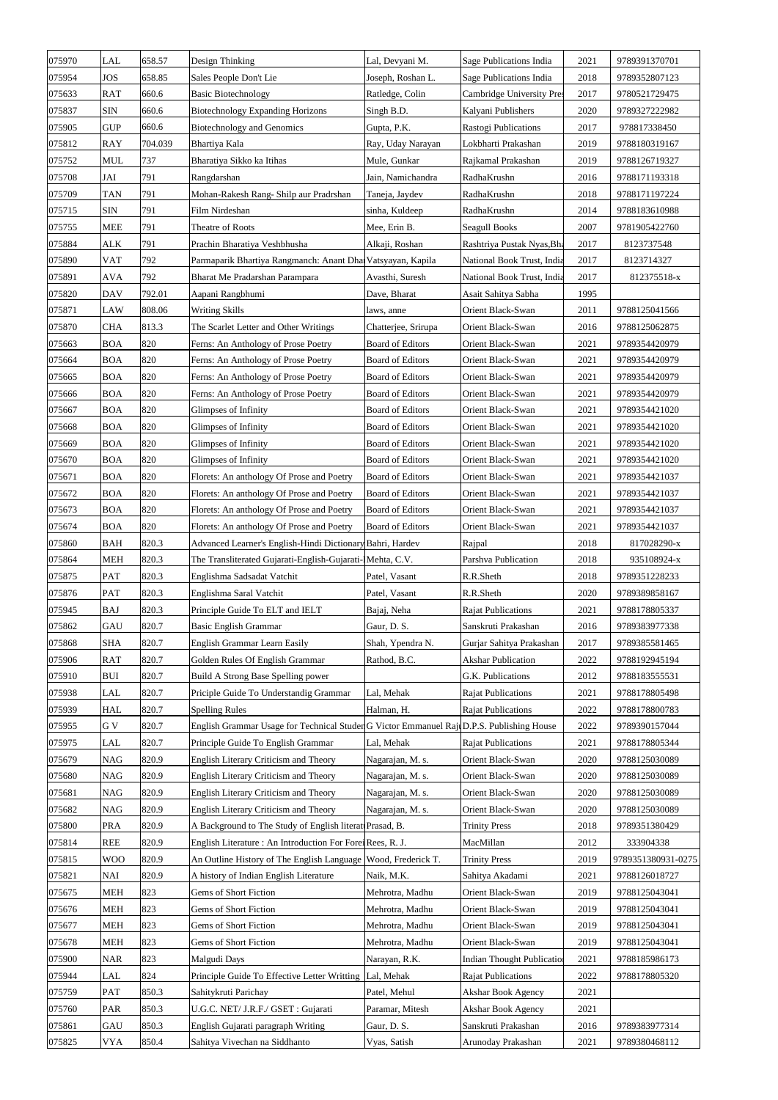| 075970 | LAL        | 658.57  | Design Thinking                                                                          | Lal, Devyani M.         | Sage Publications India           | 2021 | 9789391370701      |
|--------|------------|---------|------------------------------------------------------------------------------------------|-------------------------|-----------------------------------|------|--------------------|
| 075954 | <b>JOS</b> | 658.85  | Sales People Don't Lie                                                                   | Joseph, Roshan L.       | Sage Publications India           | 2018 | 9789352807123      |
| 075633 | <b>RAT</b> | 660.6   | <b>Basic Biotechnology</b>                                                               | Ratledge, Colin         | Cambridge University Pres         | 2017 | 9780521729475      |
| 075837 | <b>SIN</b> | 660.6   | <b>Biotechnology Expanding Horizons</b>                                                  | Singh B.D.              | Kalyani Publishers                | 2020 | 9789327222982      |
| 075905 | <b>GUP</b> | 660.6   | <b>Biotechnology and Genomics</b>                                                        | Gupta, P.K.             | Rastogi Publications              | 2017 | 978817338450       |
| 075812 | <b>RAY</b> | 704.039 | Bhartiya Kala                                                                            | Ray, Uday Narayan       | Lokbharti Prakashan               | 2019 | 9788180319167      |
| 075752 | <b>MUL</b> | 737     | Bharatiya Sikko ka Itihas                                                                | Mule, Gunkar            | Rajkamal Prakashan                | 2019 | 9788126719327      |
| 075708 | JAI        | 791     | Rangdarshan                                                                              | Jain, Namichandra       | RadhaKrushn                       | 2016 | 9788171193318      |
| 075709 | <b>TAN</b> | 791     | Mohan-Rakesh Rang- Shilp aur Pradrshan                                                   | Taneja, Jaydev          | RadhaKrushn                       | 2018 | 9788171197224      |
| 075715 | <b>SIN</b> | 791     | Film Nirdeshan                                                                           | sinha, Kuldeep          | RadhaKrushn                       | 2014 | 9788183610988      |
| 075755 | <b>MEE</b> | 791     | Theatre of Roots                                                                         | Mee, Erin B.            | <b>Seagull Books</b>              | 2007 | 9781905422760      |
| 075884 | <b>ALK</b> | 791     | Prachin Bharatiya Veshbhusha                                                             | Alkaji, Roshan          | Rashtriya Pustak Nyas, Bha        | 2017 | 8123737548         |
| 075890 | <b>VAT</b> | 792     | Parmaparik Bhartiya Rangmanch: Anant Dha Vatsyayan, Kapila                               |                         | National Book Trust, India        | 2017 | 8123714327         |
| 075891 | <b>AVA</b> | 792     | Bharat Me Pradarshan Parampara                                                           | Avasthi, Suresh         | National Book Trust, India        | 2017 | 812375518-x        |
| 075820 | <b>DAV</b> | 792.01  | Aapani Rangbhumi                                                                         | Dave, Bharat            | Asait Sahitya Sabha               | 1995 |                    |
| 075871 | <b>LAW</b> | 808.06  | <b>Writing Skills</b>                                                                    | laws, anne              | Orient Black-Swan                 | 2011 | 9788125041566      |
| 075870 | <b>CHA</b> | 813.3   | The Scarlet Letter and Other Writings                                                    | Chatterjee, Srirupa     | Orient Black-Swan                 | 2016 | 9788125062875      |
|        |            | 820     |                                                                                          |                         |                                   | 2021 |                    |
| 075663 | <b>BOA</b> |         | Ferns: An Anthology of Prose Poetry                                                      | <b>Board of Editors</b> | Orient Black-Swan                 |      | 9789354420979      |
| 075664 | <b>BOA</b> | 820     | Ferns: An Anthology of Prose Poetry                                                      | <b>Board of Editors</b> | Orient Black-Swan                 | 2021 | 9789354420979      |
| 075665 | <b>BOA</b> | 820     | Ferns: An Anthology of Prose Poetry                                                      | <b>Board of Editors</b> | Orient Black-Swan                 | 2021 | 9789354420979      |
| 075666 | <b>BOA</b> | 820     | Ferns: An Anthology of Prose Poetry                                                      | <b>Board of Editors</b> | Orient Black-Swan                 | 2021 | 9789354420979      |
| 075667 | <b>BOA</b> | 820     | Glimpses of Infinity                                                                     | <b>Board of Editors</b> | Orient Black-Swan                 | 2021 | 9789354421020      |
| 075668 | <b>BOA</b> | 820     | Glimpses of Infinity                                                                     | <b>Board of Editors</b> | Orient Black-Swan                 | 2021 | 9789354421020      |
| 075669 | <b>BOA</b> | 820     | <b>Glimpses of Infinity</b>                                                              | Board of Editors        | Orient Black-Swan                 | 2021 | 9789354421020      |
| 075670 | <b>BOA</b> | 820     | Glimpses of Infinity                                                                     | <b>Board of Editors</b> | Orient Black-Swan                 | 2021 | 9789354421020      |
| 075671 | <b>BOA</b> | 820     | Florets: An anthology Of Prose and Poetry                                                | <b>Board of Editors</b> | Orient Black-Swan                 | 2021 | 9789354421037      |
| 075672 | <b>BOA</b> | 820     | Florets: An anthology Of Prose and Poetry                                                | <b>Board of Editors</b> | Orient Black-Swan                 | 2021 | 9789354421037      |
| 075673 | <b>BOA</b> | 820     | Florets: An anthology Of Prose and Poetry                                                | <b>Board of Editors</b> | Orient Black-Swan                 | 2021 | 9789354421037      |
| 075674 | <b>BOA</b> | 820     | Florets: An anthology Of Prose and Poetry                                                | <b>Board of Editors</b> | Orient Black-Swan                 | 2021 | 9789354421037      |
| 075860 | <b>BAH</b> | 820.3   | Advanced Learner's English-Hindi Dictionary Bahri, Hardev                                |                         | Rajpal                            | 2018 | 817028290-x        |
| 075864 | <b>MEH</b> | 820.3   | The Transliterated Gujarati-English-Gujarati-IMehta, C.V.                                |                         | Parshva Publication               | 2018 | 935108924-x        |
| 075875 | <b>PAT</b> | 820.3   | Englishma Sadsadat Vatchit                                                               | Patel, Vasant           | R.R.Sheth                         | 2018 | 9789351228233      |
| 075876 | <b>PAT</b> | 820.3   | Englishma Saral Vatchit                                                                  | Patel, Vasant           | R.R.Sheth                         | 2020 | 9789389858167      |
| 075945 | <b>BAJ</b> | 820.3   | Principle Guide To ELT and IELT                                                          | Bajaj, Neha             | <b>Rajat Publications</b>         | 2021 | 9788178805337      |
| 075862 | <b>GAU</b> | 820.7   | <b>Basic English Grammar</b>                                                             | Gaur, D. S.             | Sanskruti Prakashan               | 2016 | 9789383977338      |
| 075868 | <b>SHA</b> | 820.7   | <b>English Grammar Learn Easily</b>                                                      | Shah, Ypendra N.        | Gurjar Sahitya Prakashan          | 2017 | 9789385581465      |
| 075906 | <b>RAT</b> | 820.7   | Golden Rules Of English Grammar                                                          | Rathod, B.C.            | <b>Akshar Publication</b>         | 2022 | 9788192945194      |
| 075910 | <b>BUI</b> | 820.7   | Build A Strong Base Spelling power                                                       |                         | G.K. Publications                 | 2012 | 9788183555531      |
| 075938 | <b>LAL</b> | 820.7   | Priciple Guide To Understandig Grammar                                                   | Lal, Mehak              | <b>Rajat Publications</b>         | 2021 | 9788178805498      |
| 075939 | <b>HAL</b> | 820.7   | <b>Spelling Rules</b>                                                                    | Halman, H.              | Rajat Publications                | 2022 | 9788178800783      |
| 075955 | G V        | 820.7   | English Grammar Usage for Technical Studer G Victor Emmanuel RajdD.P.S. Publishing House |                         |                                   | 2022 | 9789390157044      |
| 075975 | <b>LAL</b> | 820.7   | Principle Guide To English Grammar                                                       | Lal, Mehak              | <b>Rajat Publications</b>         | 2021 | 9788178805344      |
| 075679 | <b>NAG</b> | 820.9   | English Literary Criticism and Theory                                                    | Nagarajan, M. s.        | Orient Black-Swan                 | 2020 | 9788125030089      |
| 075680 | <b>NAG</b> | 820.9   | English Literary Criticism and Theory                                                    | Nagarajan, M. s.        | Orient Black-Swan                 | 2020 | 9788125030089      |
| 075681 | <b>NAG</b> | 820.9   | English Literary Criticism and Theory                                                    | Nagarajan, M. s.        | Orient Black-Swan                 | 2020 | 9788125030089      |
| 075682 | <b>NAG</b> | 820.9   | English Literary Criticism and Theory                                                    | Nagarajan, M. s.        | Orient Black-Swan                 | 2020 | 9788125030089      |
| 075800 | <b>PRA</b> | 820.9   | A Background to The Study of English literat Prasad, B.                                  |                         | <b>Trinity Press</b>              | 2018 | 9789351380429      |
| 075814 | <b>REE</b> | 820.9   | English Literature : An Introduction For Fore Rees, R. J.                                |                         | MacMillan                         | 2012 | 333904338          |
| 075815 | <b>WOO</b> | 820.9   | An Outline History of The English Language   Wood, Frederick T.                          |                         | <b>Trinity Press</b>              | 2019 | 9789351380931-0275 |
| 075821 | <b>NAI</b> | 820.9   | A history of Indian English Literature                                                   | Naik, M.K.              | Sahitya Akadami                   | 2021 | 9788126018727      |
| 075675 | MEH        | 823     | Gems of Short Fiction                                                                    | Mehrotra, Madhu         | Orient Black-Swan                 | 2019 | 9788125043041      |
| 075676 | <b>MEH</b> | 823     | Gems of Short Fiction                                                                    | Mehrotra, Madhu         | Orient Black-Swan                 | 2019 | 9788125043041      |
| 075677 | <b>MEH</b> | 823     | Gems of Short Fiction                                                                    | Mehrotra, Madhu         | Orient Black-Swan                 | 2019 | 9788125043041      |
| 075678 | <b>MEH</b> | 823     | Gems of Short Fiction                                                                    | Mehrotra, Madhu         | Orient Black-Swan                 | 2019 | 9788125043041      |
| 075900 | <b>NAR</b> | 823     | Malgudi Days                                                                             | Narayan, R.K.           | <b>Indian Thought Publication</b> | 2021 | 9788185986173      |
| 075944 | LAL        | 824     | Principle Guide To Effective Letter Writting                                             | Lal, Mehak              | <b>Rajat Publications</b>         | 2022 | 9788178805320      |
| 075759 | <b>PAT</b> | 850.3   | Sahitykruti Parichay                                                                     | Patel, Mehul            | <b>Akshar Book Agency</b>         | 2021 |                    |
| 075760 | <b>PAR</b> | 850.3   | U.G.C. NET/ J.R.F./ GSET : Gujarati                                                      | Paramar, Mitesh         | <b>Akshar Book Agency</b>         | 2021 |                    |
| 075861 | GAU        | 850.3   | English Gujarati paragraph Writing                                                       | Gaur, D. S.             | Sanskruti Prakashan               | 2016 | 9789383977314      |
| 075825 | <b>VYA</b> | 850.4   | Sahitya Vivechan na Siddhanto                                                            | Vyas, Satish            | Arunoday Prakashan                | 2021 | 9789380468112      |
|        |            |         |                                                                                          |                         |                                   |      |                    |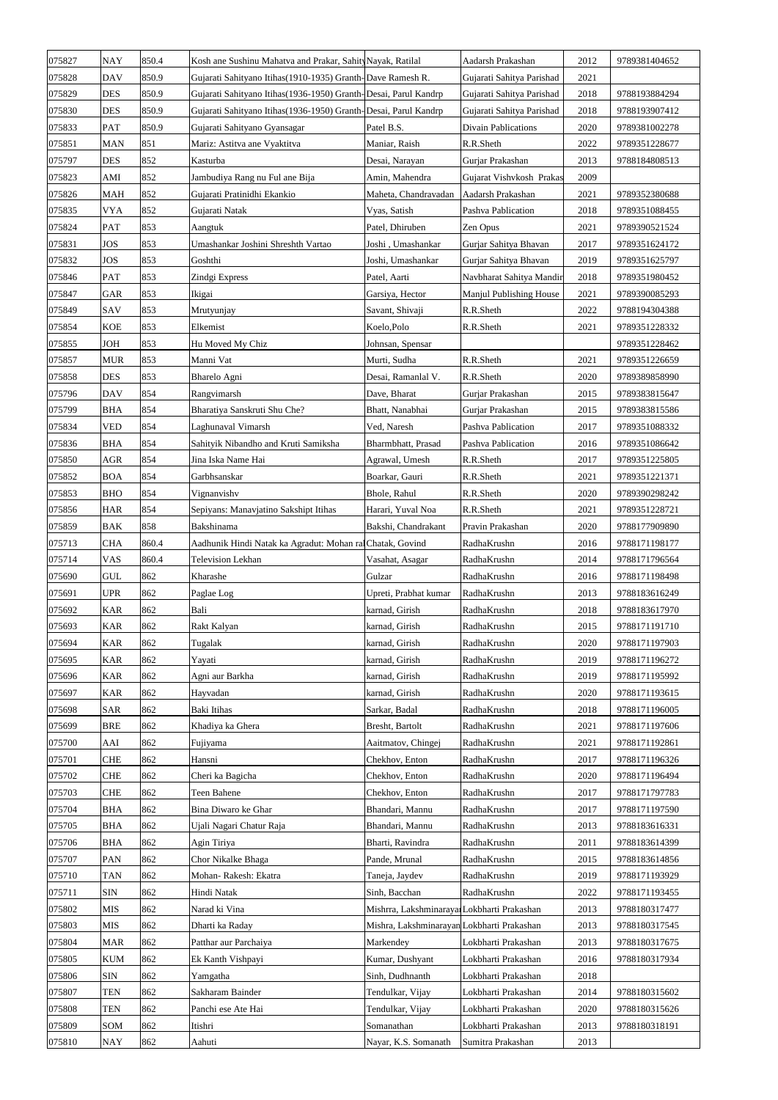| 075827 | <b>NAY</b> | 850.4 | Kosh ane Sushinu Mahatva and Prakar, Sahity Nayak, Ratilal      |                                             | Aadarsh Prakashan         | 2012 | 9789381404652 |
|--------|------------|-------|-----------------------------------------------------------------|---------------------------------------------|---------------------------|------|---------------|
| 075828 | <b>DAV</b> | 850.9 | Gujarati Sahityano Itihas (1910-1935) Granth-Dave Ramesh R.     |                                             | Gujarati Sahitya Parishad | 2021 |               |
| 075829 | <b>DES</b> | 850.9 | Gujarati Sahityano Itihas(1936-1950) Granth-Desai, Parul Kandrp |                                             | Gujarati Sahitya Parishad | 2018 | 9788193884294 |
| 075830 | <b>DES</b> | 850.9 | Gujarati Sahityano Itihas(1936-1950) Granth-Desai, Parul Kandrp |                                             | Gujarati Sahitya Parishad | 2018 | 9788193907412 |
| 075833 | <b>PAT</b> | 850.9 | Gujarati Sahityano Gyansagar                                    | Patel B.S.                                  | Divain Pablications       | 2020 | 9789381002278 |
| 075851 | <b>MAN</b> | 851   | Mariz: Astitva ane Vyaktitva                                    | Maniar, Raish                               | R.R.Sheth                 | 2022 | 9789351228677 |
| 075797 | <b>DES</b> | 852   | Kasturba                                                        | Desai, Narayan                              | Gurjar Prakashan          | 2013 | 9788184808513 |
| 075823 | AMI        | 852   | Jambudiya Rang nu Ful ane Bija                                  | Amin, Mahendra                              | Gujarat Vishvkosh Prakas  | 2009 |               |
| 075826 | <b>MAH</b> | 852   | Gujarati Pratinidhi Ekankio                                     | Maheta, Chandravadan                        | Aadarsh Prakashan         | 2021 | 9789352380688 |
| 075835 | <b>VYA</b> | 852   | Gujarati Natak                                                  | Vyas, Satish                                | Pashva Pablication        | 2018 | 9789351088455 |
| 075824 | <b>PAT</b> | 853   | Aangtuk                                                         | Patel, Dhiruben                             | Zen Opus                  | 2021 | 9789390521524 |
| 075831 | <b>JOS</b> | 853   | Umashankar Joshini Shreshth Vartao                              | Joshi, Umashankar                           | Gurjar Sahitya Bhavan     | 2017 | 9789351624172 |
| 075832 | <b>JOS</b> | 853   | Goshthi                                                         | Joshi, Umashankar                           | Gurjar Sahitya Bhavan     | 2019 | 9789351625797 |
| 075846 | <b>PAT</b> | 853   | Zindgi Express                                                  | Patel, Aarti                                | Navbharat Sahitya Mandir  | 2018 | 9789351980452 |
| 075847 | <b>GAR</b> | 853   | Ikigai                                                          | Garsiya, Hector                             | Manjul Publishing House   | 2021 | 9789390085293 |
| 075849 | <b>SAV</b> | 853   | Mrutyunjay                                                      | Savant, Shivaji                             | R.R.Sheth                 | 2022 | 9788194304388 |
| 075854 | <b>KOE</b> | 853   | Elkemist                                                        | Koelo, Polo                                 | R.R.Sheth                 | 2021 | 9789351228332 |
| 075855 | JOH        | 853   | Hu Moved My Chiz                                                | Johnsan, Spensar                            |                           |      | 9789351228462 |
| 075857 | <b>MUR</b> | 853   | Manni Vat                                                       | Murti, Sudha                                | R.R.Sheth                 | 2021 | 9789351226659 |
| 075858 | <b>DES</b> | 853   | Bharelo Agni                                                    | Desai, Ramanlal V.                          | R.R.Sheth                 | 2020 | 9789389858990 |
| 075796 | <b>DAV</b> | 854   | Rangvimarsh                                                     | Dave, Bharat                                | Gurjar Prakashan          | 2015 | 9789383815647 |
| 075799 | <b>BHA</b> | 854   | Bharatiya Sanskruti Shu Che?                                    | Bhatt, Nanabhai                             | Gurjar Prakashan          | 2015 | 9789383815586 |
| 075834 | <b>VED</b> | 854   | Laghunaval Vimarsh                                              | Ved, Naresh                                 | Pashva Pablication        | 2017 | 9789351088332 |
| 075836 | <b>BHA</b> | 854   | Sahityik Nibandho and Kruti Samiksha                            | Bharmbhatt, Prasad                          | Pashva Pablication        | 2016 | 9789351086642 |
| 075850 | AGR        | 854   | Jina Iska Name Hai                                              | Agrawal, Umesh                              | R.R.Sheth                 | 2017 | 9789351225805 |
| 075852 | <b>BOA</b> | 854   | Garbhsanskar                                                    | Boarkar, Gauri                              | R.R.Sheth                 | 2021 | 9789351221371 |
|        | <b>BHO</b> | 854   | Vignanvishv                                                     | Bhole, Rahul                                | R.R.Sheth                 | 2020 | 9789390298242 |
| 075853 |            |       |                                                                 |                                             |                           |      |               |
| 075856 | <b>HAR</b> | 854   | Sepiyans: Manavjatino Sakshipt Itihas                           | Harari, Yuval Noa                           | R.R.Sheth                 | 2021 | 9789351228721 |
| 075859 | <b>BAK</b> | 858   | Bakshinama                                                      | Bakshi, Chandrakant                         | Pravin Prakashan          | 2020 | 9788177909890 |
| 075713 | <b>CHA</b> | 860.4 | Aadhunik Hindi Natak ka Agradut: Mohan ral Chatak, Govind       |                                             | RadhaKrushn               | 2016 | 9788171198177 |
| 075714 | <b>VAS</b> | 860.4 | <b>Television Lekhan</b>                                        | Vasahat, Asagar                             | RadhaKrushn               | 2014 | 9788171796564 |
| 075690 | <b>GUL</b> | 862   | Kharashe                                                        | Gulzar                                      | RadhaKrushn               | 2016 | 9788171198498 |
| 075691 | <b>UPR</b> | 862   | Paglae Log                                                      | Upreti, Prabhat kumar                       | RadhaKrushn               | 2013 | 9788183616249 |
| 075692 | <b>KAR</b> | 862   | Bali                                                            | karnad, Girish                              | RadhaKrushn               | 2018 | 9788183617970 |
| 075693 | <b>KAR</b> | 862   | Rakt Kalyan                                                     | karnad, Girish                              | RadhaKrushn               | 2015 | 9788171191710 |
| 075694 | <b>KAR</b> | 862   | Tugalak                                                         | karnad, Girish                              | RadhaKrushn               | 2020 | 9788171197903 |
| 075695 | <b>KAR</b> | 862   | Yayati                                                          | karnad, Girish                              | RadhaKrushn               | 2019 | 9788171196272 |
| 075696 | <b>KAR</b> | 862   | Agni aur Barkha                                                 | karnad, Girish                              | RadhaKrushn               | 2019 | 9788171195992 |
| 075697 | <b>KAR</b> | 862   | Hayvadan                                                        | karnad, Girish                              | RadhaKrushn               | 2020 | 9788171193615 |
| 075698 | <b>SAR</b> | 862   | Baki Itihas                                                     | Sarkar, Badal                               | RadhaKrushn               | 2018 | 9788171196005 |
| 075699 | <b>BRE</b> | 862   | Khadiya ka Ghera                                                | Bresht, Bartolt                             | RadhaKrushn               | 2021 | 9788171197606 |
| 075700 | AAI        | 862   | Fujiyama                                                        | Aaitmatov, Chingej                          | RadhaKrushn               | 2021 | 9788171192861 |
| 075701 | <b>CHE</b> | 862   | Hansni                                                          | Chekhov, Enton                              | RadhaKrushn               | 2017 | 9788171196326 |
| 075702 | <b>CHE</b> | 862   | Cheri ka Bagicha                                                | Chekhov, Enton                              | RadhaKrushn               | 2020 | 9788171196494 |
| 075703 | <b>CHE</b> | 862   | Teen Bahene                                                     | Chekhov, Enton                              | RadhaKrushn               | 2017 | 9788171797783 |
| 075704 | <b>BHA</b> | 862   | Bina Diwaro ke Ghar                                             | Bhandari, Mannu                             | RadhaKrushn               | 2017 | 9788171197590 |
| 075705 | <b>BHA</b> | 862   | Ujali Nagari Chatur Raja                                        | Bhandari, Mannu                             | RadhaKrushn               | 2013 | 9788183616331 |
| 075706 | <b>BHA</b> | 862   | Agin Tiriya                                                     | Bharti, Ravindra                            | RadhaKrushn               | 2011 | 9788183614399 |
| 075707 | <b>PAN</b> | 862   | Chor Nikalke Bhaga                                              | Pande, Mrunal                               | RadhaKrushn               | 2015 | 9788183614856 |
| 075710 | <b>TAN</b> | 862   | Mohan-Rakesh: Ekatra                                            | Taneja, Jaydev                              | RadhaKrushn               | 2019 | 9788171193929 |
| 075711 | <b>SIN</b> | 862   | Hindi Natak                                                     | Sinh, Bacchan                               | RadhaKrushn               | 2022 | 9788171193455 |
| 075802 | <b>MIS</b> | 862   | Narad ki Vina                                                   | Mishrra, Lakshminarayar Lokbharti Prakashan |                           | 2013 | 9788180317477 |
| 075803 | <b>MIS</b> | 862   | Dharti ka Raday                                                 | Mishra, Lakshminarayan Lokbharti Prakashan  |                           | 2013 | 9788180317545 |
| 075804 | <b>MAR</b> | 862   | Patthar aur Parchaiya                                           | Markendey                                   | Lokbharti Prakashan       | 2013 | 9788180317675 |
| 075805 | <b>KUM</b> | 862   | Ek Kanth Vishpayi                                               | Kumar, Dushyant                             | Lokbharti Prakashan       | 2016 | 9788180317934 |
| 075806 | <b>SIN</b> | 862   | Yamgatha                                                        | Sinh, Dudhnanth                             | Lokbharti Prakashan       | 2018 |               |
| 075807 | <b>TEN</b> | 862   | Sakharam Bainder                                                | Tendulkar, Vijay                            | Lokbharti Prakashan       | 2014 | 9788180315602 |
| 075808 | <b>TEN</b> | 862   | Panchi ese Ate Hai                                              | Tendulkar, Vijay                            | Lokbharti Prakashan       | 2020 | 9788180315626 |
| 075809 | SOM        | 862   | Itishri                                                         | Somanathan                                  | Lokbharti Prakashan       | 2013 | 9788180318191 |
| 075810 | <b>NAY</b> | 862   | Aahuti                                                          | Nayar, K.S. Somanath                        | Sumitra Prakashan         | 2013 |               |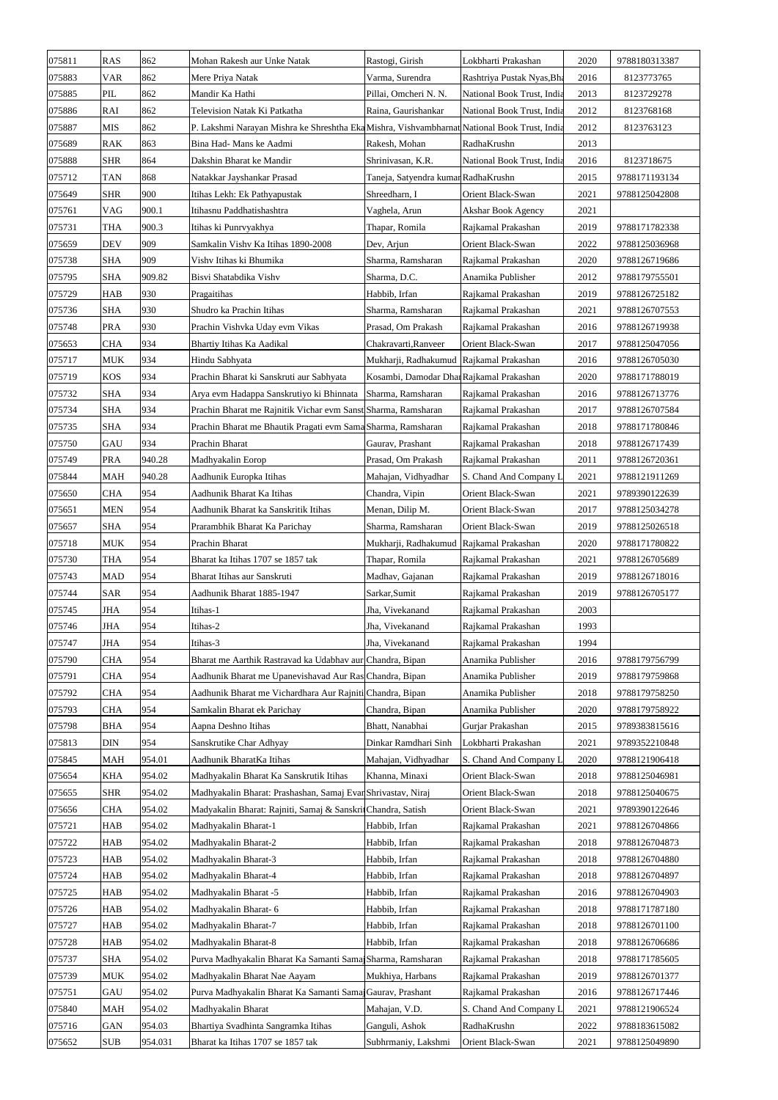| 075811           | <b>RAS</b> | 862     | Mohan Rakesh aur Unke Natak                                                                  | Rastogi, Girish                         | Lokbharti Prakashan                      | 2020 | 9788180313387                  |
|------------------|------------|---------|----------------------------------------------------------------------------------------------|-----------------------------------------|------------------------------------------|------|--------------------------------|
| 075883           | <b>VAR</b> | 862     | Mere Priya Natak                                                                             | Varma, Surendra                         | Rashtriya Pustak Nyas, Bha               | 2016 | 8123773765                     |
| 075885           | PIL        | 862     | Mandir Ka Hathi                                                                              | Pillai, Omcheri N. N.                   | National Book Trust, India               | 2013 | 8123729278                     |
| 075886           | RAI        | 862     | Television Natak Ki Patkatha                                                                 | Raina, Gaurishankar                     | National Book Trust, India               | 2012 | 8123768168                     |
| 075887           | <b>MIS</b> | 862     | P. Lakshmi Narayan Mishra ke Shreshtha Eka Mishra, Vishvambharnat National Book Trust, India |                                         |                                          | 2012 | 8123763123                     |
| 075689           | <b>RAK</b> | 863     | Bina Had- Mans ke Aadmi                                                                      | Rakesh, Mohan                           | RadhaKrushn                              | 2013 |                                |
| 075888           | <b>SHR</b> | 864     | Dakshin Bharat ke Mandir                                                                     | Shrinivasan, K.R.                       | National Book Trust, India               | 2016 | 8123718675                     |
| 075712           | <b>TAN</b> | 868     | Natakkar Jayshankar Prasad                                                                   | Taneja, Satyendra kumar RadhaKrushn     |                                          | 2015 | 9788171193134                  |
| 075649           | <b>SHR</b> | 900     | Itihas Lekh: Ek Pathyapustak                                                                 | Shreedharn, I                           | Orient Black-Swan                        | 2021 | 9788125042808                  |
| 075761           | <b>VAG</b> | 900.1   | Itihasnu Paddhatishashtra                                                                    | Vaghela, Arun                           | Akshar Book Agency                       | 2021 |                                |
| 075731           | <b>THA</b> | 900.3   | Itihas ki Punrvyakhya                                                                        | Thapar, Romila                          | Rajkamal Prakashan                       | 2019 | 9788171782338                  |
| 075659           | <b>DEV</b> | 909     | Samkalin Vishv Ka Itihas 1890-2008                                                           | Dev, Arjun                              | Orient Black-Swan                        | 2022 | 9788125036968                  |
| 075738           | <b>SHA</b> | 909     | Vishv Itihas ki Bhumika                                                                      | Sharma, Ramsharan                       | Rajkamal Prakashan                       | 2020 | 9788126719686                  |
| 075795           | <b>SHA</b> | 909.82  | Bisvi Shatabdika Vishv                                                                       | Sharma, D.C.                            | Anamika Publisher                        | 2012 | 9788179755501                  |
| 075729           | <b>HAB</b> | 930     | Pragaitihas                                                                                  | Habbib, Irfan                           | Rajkamal Prakashan                       | 2019 | 9788126725182                  |
| 075736           | <b>SHA</b> | 930     | Shudro ka Prachin Itihas                                                                     | Sharma, Ramsharan                       | Rajkamal Prakashan                       | 2021 | 9788126707553                  |
| 075748           | <b>PRA</b> | 930     | Prachin Vishvka Uday evm Vikas                                                               | Prasad, Om Prakash                      | Rajkamal Prakashan                       | 2016 | 9788126719938                  |
| 075653           | <b>CHA</b> | 934     | Bhartiy Itihas Ka Aadikal                                                                    | Chakravarti, Ranveer                    | Orient Black-Swan                        | 2017 | 9788125047056                  |
| 075717           | <b>MUK</b> | 934     | Hindu Sabhyata                                                                               | Mukharji, Radhakumud Rajkamal Prakashan |                                          | 2016 | 9788126705030                  |
| 075719           | <b>KOS</b> | 934     | Prachin Bharat ki Sanskruti aur Sabhyata                                                     | Kosambi, Damodar DharRajkamal Prakashan |                                          | 2020 | 9788171788019                  |
| 075732           | <b>SHA</b> | 934     | Arya evm Hadappa Sanskrutiyo ki Bhinnata                                                     | Sharma, Ramsharan                       | Rajkamal Prakashan                       | 2016 | 9788126713776                  |
| 075734           | <b>SHA</b> | 934     | Prachin Bharat me Rajnitik Vichar evm Sanst Sharma, Ramsharan                                |                                         | Rajkamal Prakashan                       | 2017 | 9788126707584                  |
| 075735           | <b>SHA</b> | 934     | Prachin Bharat me Bhautik Pragati evm Sama Sharma, Ramsharan                                 |                                         | Rajkamal Prakashan                       | 2018 | 9788171780846                  |
| 075750           | GAU        | 934     | Prachin Bharat                                                                               | Gaurav, Prashant                        | Rajkamal Prakashan                       | 2018 | 9788126717439                  |
| 075749           | <b>PRA</b> | 940.28  | Madhyakalin Eorop                                                                            | Prasad, Om Prakash                      | Rajkamal Prakashan                       | 2011 | 9788126720361                  |
| 075844           | <b>MAH</b> | 940.28  | Aadhunik Europka Itihas                                                                      | Mahajan, Vidhyadhar                     | S. Chand And Company L                   | 2021 | 9788121911269                  |
| 075650           | <b>CHA</b> | 954     | Aadhunik Bharat Ka Itihas                                                                    | Chandra, Vipin                          | Orient Black-Swan                        | 2021 | 9789390122639                  |
| 075651           | <b>MEN</b> | 954     | Aadhunik Bharat ka Sanskritik Itihas                                                         | Menan, Dilip M.                         | Orient Black-Swan                        | 2017 | 9788125034278                  |
| 075657           | <b>SHA</b> | 954     | Prarambhik Bharat Ka Parichay                                                                | Sharma, Ramsharan                       | Orient Black-Swan                        | 2019 | 9788125026518                  |
| 075718           | <b>MUK</b> | 954     | Prachin Bharat                                                                               | Mukharji, Radhakumud Rajkamal Prakashan |                                          | 2020 | 9788171780822                  |
| 075730           | <b>THA</b> | 954     | Bharat ka Itihas 1707 se 1857 tak                                                            | Thapar, Romila                          | Rajkamal Prakashan                       | 2021 | 9788126705689                  |
| 075743           | <b>MAD</b> | 954     | Bharat Itihas aur Sanskruti                                                                  | Madhav, Gajanan                         | Rajkamal Prakashan                       | 2019 | 9788126718016                  |
| 075744           | <b>SAR</b> | 954     | Aadhunik Bharat 1885-1947                                                                    | Sarkar, Sumit                           | Rajkamal Prakashan                       | 2019 | 9788126705177                  |
| 075745           | <b>JHA</b> | 954     | Itihas-1                                                                                     | Jha, Vivekanand                         | Rajkamal Prakashan                       | 2003 |                                |
| 075746           | <b>JHA</b> | 954     | Itihas-2                                                                                     | Jha, Vivekanand                         | Rajkamal Prakashan                       | 1993 |                                |
| 075747           | <b>JHA</b> | 954     | Itihas-3                                                                                     | Jha, Vivekanand                         | Rajkamal Prakashan                       | 1994 |                                |
| 075790           | <b>CHA</b> | 954     | Bharat me Aarthik Rastravad ka Udabhav aur Chandra, Bipan                                    |                                         | Anamika Publisher                        | 2016 | 9788179756799                  |
| 075791           | <b>CHA</b> | 954     | Aadhunik Bharat me Upanevishavad Aur Ras Chandra, Bipan                                      |                                         | Anamika Publisher                        | 2019 | 9788179759868                  |
| 075792           | <b>CHA</b> | 954     | Aadhunik Bharat me Vichardhara Aur Rajniti Chandra, Bipan                                    |                                         | Anamika Publisher                        | 2018 | 9788179758250                  |
| 075793           | <b>CHA</b> | 954     | Samkalin Bharat ek Parichay                                                                  | Chandra, Bipan                          | Anamika Publisher                        | 2020 | 9788179758922                  |
| 075798           | <b>BHA</b> | 954     | Aapna Deshno Itihas                                                                          | Bhatt, Nanabhai                         | Gurjar Prakashan                         | 2015 | 9789383815616                  |
| 075813           | <b>DIN</b> | 954     | Sanskrutike Char Adhyay                                                                      | Dinkar Ramdhari Sinh                    | Lokbharti Prakashan                      | 2021 | 9789352210848                  |
| 075845           | <b>MAH</b> | 954.01  | Aadhunik BharatKa Itihas                                                                     | Mahajan, Vidhyadhar                     | S. Chand And Company L                   | 2020 | 9788121906418                  |
| 075654           | <b>KHA</b> | 954.02  | Madhyakalin Bharat Ka Sanskrutik Itihas                                                      | Khanna, Minaxi                          | Orient Black-Swan                        | 2018 | 9788125046981                  |
| 075655           | <b>SHR</b> | 954.02  | Madhyakalin Bharat: Prashashan, Samaj Evar Shrivastav, Niraj                                 |                                         | Orient Black-Swan                        | 2018 | 9788125040675                  |
| 075656           | <b>CHA</b> | 954.02  | Madyakalin Bharat: Rajniti, Samaj & Sanskri Chandra, Satish                                  |                                         | Orient Black-Swan                        | 2021 | 9789390122646                  |
| 075721           | <b>HAB</b> | 954.02  | Madhyakalin Bharat-1                                                                         | Habbib, Irfan                           | Rajkamal Prakashan                       | 2021 | 9788126704866                  |
| 075722           | <b>HAB</b> | 954.02  | Madhyakalin Bharat-2                                                                         | Habbib, Irfan                           | Rajkamal Prakashan                       | 2018 | 9788126704873                  |
| 075723           | <b>HAB</b> | 954.02  | Madhyakalin Bharat-3                                                                         | Habbib, Irfan                           | Rajkamal Prakashan                       | 2018 | 9788126704880                  |
| 075724           | <b>HAB</b> | 954.02  | Madhyakalin Bharat-4                                                                         | Habbib, Irfan                           | Rajkamal Prakashan                       | 2018 | 9788126704897                  |
| 075725           | <b>HAB</b> | 954.02  | Madhyakalin Bharat -5                                                                        | Habbib, Irfan                           | Rajkamal Prakashan                       | 2016 | 9788126704903                  |
| 075726           | <b>HAB</b> | 954.02  | Madhyakalin Bharat-6                                                                         | Habbib, Irfan                           | Rajkamal Prakashan                       | 2018 | 9788171787180                  |
| 075727           | <b>HAB</b> | 954.02  | Madhyakalin Bharat-7                                                                         | Habbib, Irfan                           | Rajkamal Prakashan                       | 2018 | 9788126701100                  |
|                  | <b>HAB</b> | 954.02  | Madhyakalin Bharat-8                                                                         | Habbib, Irfan                           | Rajkamal Prakashan                       | 2018 | 9788126706686                  |
| 075728           | <b>SHA</b> | 954.02  | Purva Madhyakalin Bharat Ka Samanti Sama Sharma, Ramsharan                                   |                                         |                                          | 2018 |                                |
| 075737<br>075739 | <b>MUK</b> | 954.02  | Madhyakalin Bharat Nae Aayam                                                                 | Mukhiya, Harbans                        | Rajkamal Prakashan<br>Rajkamal Prakashan | 2019 | 9788171785605<br>9788126701377 |
|                  | GAU        | 954.02  | Purva Madhyakalin Bharat Ka Samanti Sama Gaurav, Prashant                                    |                                         | Rajkamal Prakashan                       | 2016 | 9788126717446                  |
| 075751<br>075840 |            | 954.02  | Madhyakalin Bharat                                                                           | Mahajan, V.D.                           | S. Chand And Company L                   | 2021 | 9788121906524                  |
|                  | MAH        | 954.03  | Bhartiya Svadhinta Sangramka Itihas                                                          |                                         | RadhaKrushn                              | 2022 | 9788183615082                  |
| 075716           | <b>GAN</b> | 954.031 |                                                                                              | Ganguli, Ashok                          |                                          |      |                                |
| 075652           | <b>SUB</b> |         | Bharat ka Itihas 1707 se 1857 tak                                                            | Subhrmaniy, Lakshmi                     | Orient Black-Swan                        | 2021 | 9788125049890                  |